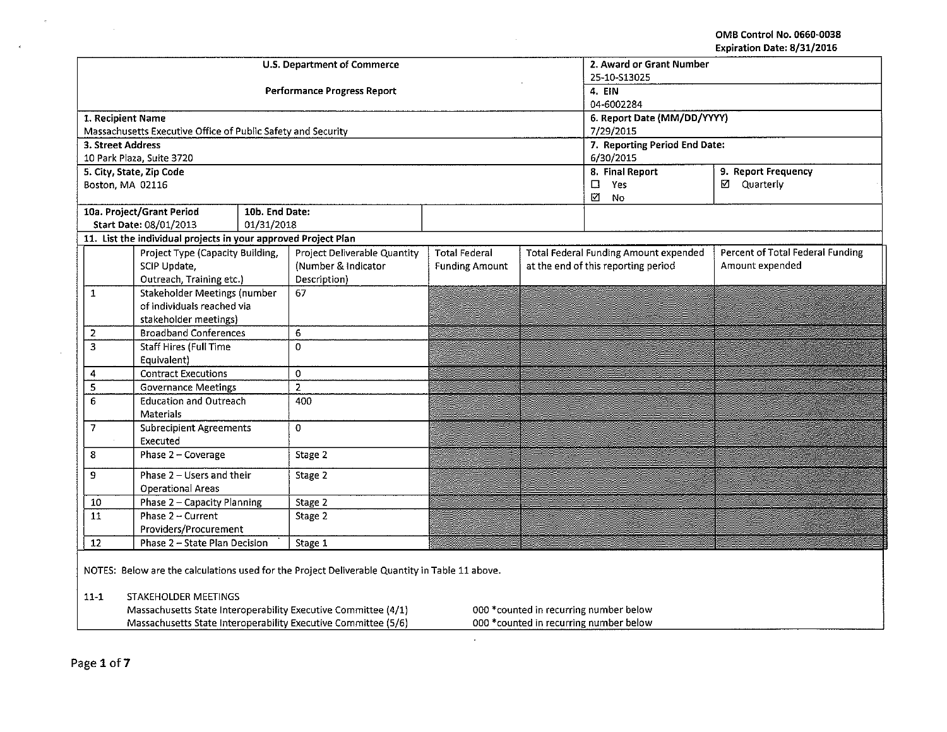OMB Control No. 0660-0038 Expiration Date: 8/31/2016

|                                                                                                          | CYNII GMAII NGIC' OI 371 TATA                                  |                |                                                                                                |                                           |           |                                        |                                  |  |  |
|----------------------------------------------------------------------------------------------------------|----------------------------------------------------------------|----------------|------------------------------------------------------------------------------------------------|-------------------------------------------|-----------|----------------------------------------|----------------------------------|--|--|
| <b>U.S. Department of Commerce</b>                                                                       |                                                                |                |                                                                                                |                                           |           | 2. Award or Grant Number               |                                  |  |  |
|                                                                                                          |                                                                |                | 25-10-S13025                                                                                   |                                           |           |                                        |                                  |  |  |
|                                                                                                          |                                                                |                | Performance Progress Report                                                                    |                                           |           | 4. EIN                                 |                                  |  |  |
|                                                                                                          |                                                                |                |                                                                                                | 04-6002284<br>6. Report Date (MM/DD/YYYY) |           |                                        |                                  |  |  |
| 1. Recipient Name                                                                                        | Massachusetts Executive Office of Public Safety and Security   |                |                                                                                                |                                           | 7/29/2015 |                                        |                                  |  |  |
| 3. Street Address                                                                                        |                                                                |                |                                                                                                |                                           |           | 7. Reporting Period End Date:          |                                  |  |  |
|                                                                                                          | 10 Park Plaza, Suite 3720                                      |                |                                                                                                |                                           |           | 6/30/2015                              |                                  |  |  |
|                                                                                                          | 5. City, State, Zip Code                                       |                |                                                                                                |                                           |           | 8. Final Report<br>9. Report Frequency |                                  |  |  |
| Boston, MA 02116                                                                                         |                                                                |                |                                                                                                |                                           |           | $\square$ Yes                          | ☑ Quarterly                      |  |  |
|                                                                                                          |                                                                |                |                                                                                                |                                           |           | N<br>No                                |                                  |  |  |
|                                                                                                          | 10a. Project/Grant Period                                      | 10b. End Date: |                                                                                                |                                           |           |                                        |                                  |  |  |
|                                                                                                          | Start Date: 08/01/2013                                         | 01/31/2018     |                                                                                                |                                           |           |                                        |                                  |  |  |
|                                                                                                          | 11. List the individual projects in your approved Project Plan |                |                                                                                                |                                           |           |                                        |                                  |  |  |
|                                                                                                          | Project Type (Capacity Building,                               |                | <b>Project Deliverable Quantity</b>                                                            | <b>Total Federal</b>                      |           | Total Federal Funding Amount expended  | Percent of Total Federal Funding |  |  |
|                                                                                                          | SCIP Update,                                                   |                | (Number & Indicator                                                                            | <b>Funding Amount</b>                     |           | at the end of this reporting period    | Amount expended                  |  |  |
|                                                                                                          | Outreach, Training etc.)                                       |                | Description)                                                                                   |                                           |           |                                        |                                  |  |  |
| $\mathbf{1}$                                                                                             | <b>Stakeholder Meetings (number</b>                            |                | 67                                                                                             |                                           |           |                                        |                                  |  |  |
|                                                                                                          | of individuals reached via                                     |                |                                                                                                |                                           |           |                                        |                                  |  |  |
|                                                                                                          | stakeholder meetings)                                          |                |                                                                                                |                                           |           |                                        |                                  |  |  |
| 2                                                                                                        | <b>Broadband Conferences</b>                                   |                | 6                                                                                              |                                           |           |                                        |                                  |  |  |
| $\overline{\mathbf{3}}$                                                                                  | <b>Staff Hires (Full Time</b>                                  |                | 0                                                                                              |                                           |           |                                        |                                  |  |  |
|                                                                                                          | Equivalent)                                                    |                |                                                                                                |                                           |           |                                        |                                  |  |  |
| 4                                                                                                        | <b>Contract Executions</b>                                     |                | 0<br>$\overline{2}$                                                                            |                                           |           |                                        |                                  |  |  |
| 5<br>$\overline{6}$                                                                                      | <b>Governance Meetings</b><br><b>Education and Outreach</b>    |                |                                                                                                |                                           |           |                                        |                                  |  |  |
|                                                                                                          | Materials                                                      |                | 400                                                                                            |                                           |           |                                        |                                  |  |  |
| $\overline{7}$                                                                                           | <b>Subrecipient Agreements</b>                                 |                | 0                                                                                              |                                           |           |                                        |                                  |  |  |
|                                                                                                          | Executed                                                       |                |                                                                                                |                                           |           |                                        |                                  |  |  |
| 8                                                                                                        | Phase 2 - Coverage                                             |                | Stage 2                                                                                        |                                           |           |                                        |                                  |  |  |
|                                                                                                          |                                                                |                |                                                                                                |                                           |           |                                        |                                  |  |  |
| 9                                                                                                        | Phase 2 - Users and their                                      |                | Stage 2                                                                                        |                                           |           |                                        |                                  |  |  |
|                                                                                                          | <b>Operational Areas</b>                                       |                |                                                                                                |                                           |           |                                        |                                  |  |  |
| 10                                                                                                       | Phase 2 - Capacity Planning                                    |                | Stage 2                                                                                        |                                           |           |                                        |                                  |  |  |
| $\overline{11}$                                                                                          | Phase 2 - Current                                              |                | Stage 2                                                                                        |                                           | an Sa     |                                        |                                  |  |  |
|                                                                                                          | Providers/Procurement<br>Phase 2 - State Plan Decision         |                |                                                                                                |                                           |           |                                        |                                  |  |  |
| 12                                                                                                       |                                                                |                | Stage 1                                                                                        |                                           |           |                                        |                                  |  |  |
|                                                                                                          |                                                                |                | NOTES: Below are the calculations used for the Project Deliverable Quantity in Table 11 above. |                                           |           |                                        |                                  |  |  |
|                                                                                                          |                                                                |                |                                                                                                |                                           |           |                                        |                                  |  |  |
| STAKEHOLDER MEETINGS<br>$11-1$                                                                           |                                                                |                |                                                                                                |                                           |           |                                        |                                  |  |  |
|                                                                                                          |                                                                |                | Massachusetts State Interoperability Executive Committee (4/1)                                 |                                           |           | 000 *counted in recurring number below |                                  |  |  |
| Massachusetts State Interoperability Executive Committee (5/6)<br>000 *counted in recurring number below |                                                                |                |                                                                                                |                                           |           |                                        |                                  |  |  |
|                                                                                                          |                                                                |                |                                                                                                |                                           |           |                                        |                                  |  |  |

 $\sim$ 

 $\sim$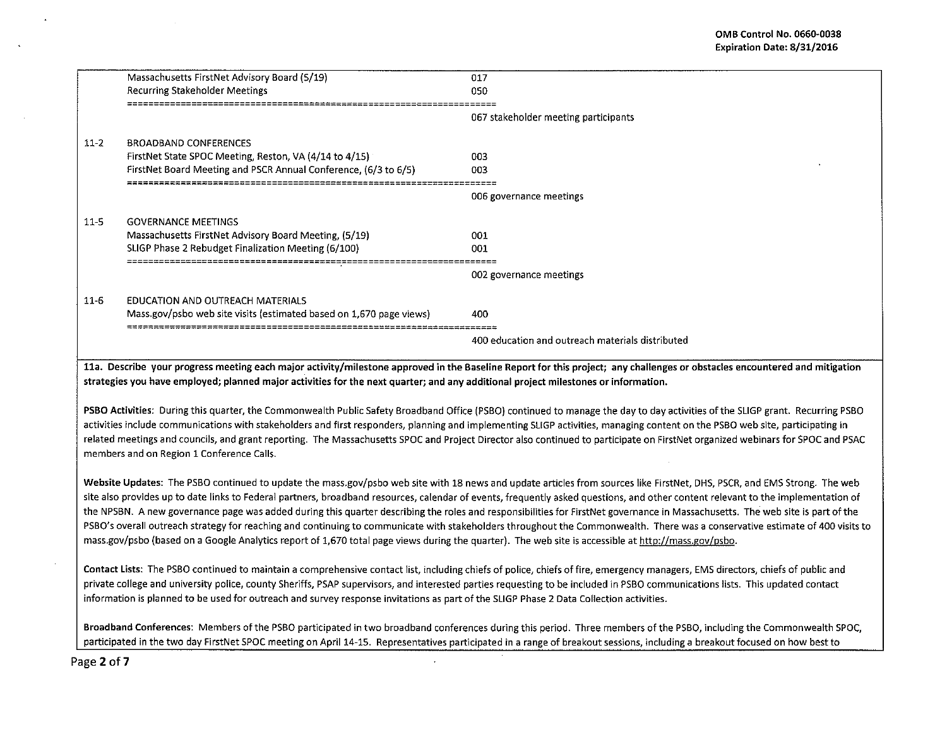|          | Massachusetts FirstNet Advisory Board (5/19)                        | 017                                                                                                                                                                        |
|----------|---------------------------------------------------------------------|----------------------------------------------------------------------------------------------------------------------------------------------------------------------------|
|          | Recurring Stakeholder Meetings                                      | 050                                                                                                                                                                        |
|          |                                                                     | 067 stakeholder meeting participants                                                                                                                                       |
| $11 - 2$ | <b>BROADBAND CONFERENCES</b>                                        |                                                                                                                                                                            |
|          | FirstNet State SPOC Meeting, Reston, VA (4/14 to 4/15)              | 003                                                                                                                                                                        |
|          | FirstNet Board Meeting and PSCR Annual Conference, (6/3 to 6/5)     | nn3                                                                                                                                                                        |
|          |                                                                     |                                                                                                                                                                            |
|          |                                                                     | 006 governance meetings                                                                                                                                                    |
| $11 - 5$ | <b>GOVERNANCE MEETINGS</b>                                          |                                                                                                                                                                            |
|          | Massachusetts FirstNet Advisory Board Meeting, (5/19)               | 001.                                                                                                                                                                       |
|          | SLIGP Phase 2 Rebudget Finalization Meeting (6/100)                 | 001                                                                                                                                                                        |
|          |                                                                     |                                                                                                                                                                            |
|          |                                                                     | 002 governance meetings                                                                                                                                                    |
| $11-6$   | EDUCATION AND OUTREACH MATERIALS                                    |                                                                                                                                                                            |
|          | Mass.gov/psbo web site visits (estimated based on 1,670 page views) | 400                                                                                                                                                                        |
|          |                                                                     |                                                                                                                                                                            |
|          |                                                                     | 400 education and outreach materials distributed                                                                                                                           |
|          |                                                                     |                                                                                                                                                                            |
|          |                                                                     | 11a. Describe vour progress meeting each maior activity/milestone approved in the Baseline Report for this project: any challenges or obstacles encountered and mitigation |

ich major activity/milestone approved in the Baseline Report for this project; any challenges or obstacles encountered and m strategies you have employed; planned major activities for the next quarter; and any additional project milestones or information.

PSBO Activities: During this quarter, the Commonwealth Public Safety Broadband Office (PSBO) continued to manage the day to day activities of the SLIGP grant. Recurring PSBO activities include communications with stakeholders and first responders, planning and implementing SUGP activities, managing content on the PSBO web site, participating in related meetings and councils, and grant reporting. The Massachusetts SPOC and Project Director also continued to participate on FirstNet organized webinars for SPOC and PSAC members and on Region 1 Conference Calls.

Website Updates: The PSBO continued to update the mass.gov/psbo web site with 18 news and update articles from sources like FirstNet, DHS, PSCR, and EMS Strong. The web site also provides up to date links to Federal partners, broadband resources, calendar of events, frequently asked questions, and other content relevant to the implementation of the NPSBN. A new governance page was added during this quarter describing the roles and responsibilities for FirstNet governance in Massachusetts. The web site is part of the PSBO's overall outreach strategy for reaching and continuing to communicate with stakeholders throughout the Commonwealth. There was a conservative estimate of 400 visits to mass.gov/psbo (based on a Google Analytics report of 1,670 total page views during the quarter). The web site is accessible at http://mass.gov/psbo.

Contact Lists: The PSBO continued to maintain a comprehensive contact list, including chiefs of police, chiefs of fire, emergency managers, EMS directors, chiefs of public and private college and university police, county Sheriffs, PSAP supervisors, and interested parties requesting to be included in PSBO communications lists. This updated contact information is planned to be used for outreach and survey response invitations as part of the SLIGP Phase 2 Data Collection activities.

Broadband Conferences: Members of the PSBO participated in two broadband conferences during this period. Three members of the PSBO, including the Commonwealth SPOC, participated in the two day FirstNet SPOC meeting on April 14-15. Representatives participated in a range of breakout sessions, including a breakout focused on how best to

Page 2 of 7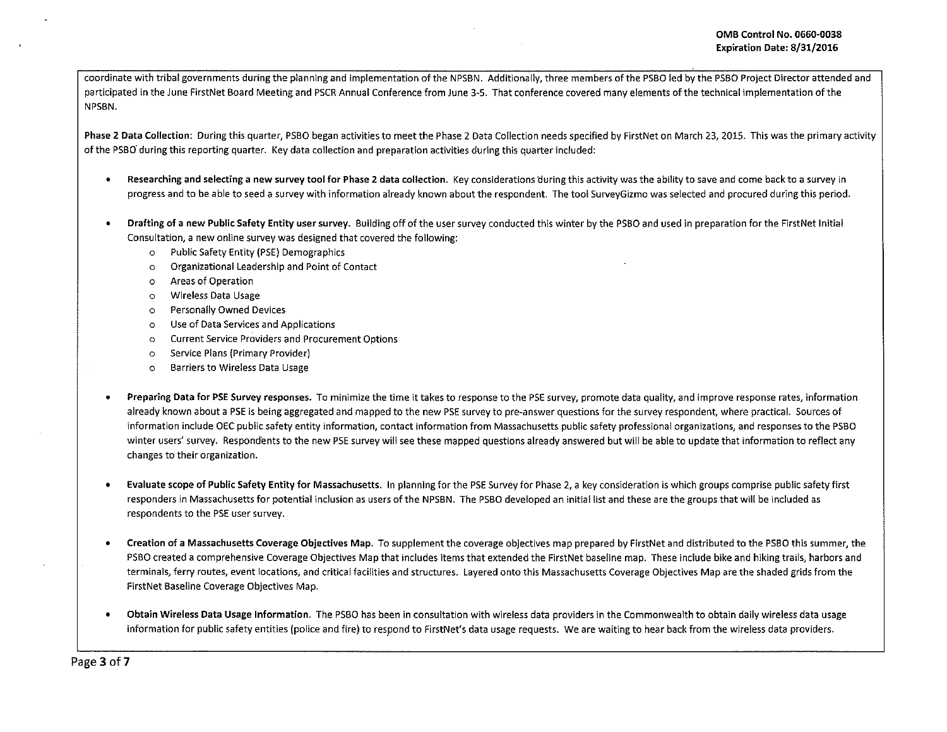coordinate with tribal governments during the planning and implementation of the NPSBN. Additionally, three members of the PSBO led by the PSBO Project Director attended and participated in the June FirstNet Board Meeting and PSCR Annual Conference from June 3-5. That conference covered many elements of the technical implementation of the NPSBN.

Phase 2 Data Collection: During this quarter, PSBO began activities to meet the Phase 2 Data Collection needs specified by FirstNet on March 23, 2015. This was the primary activity of the PSBO' during this reporting quarter. Key data collection and preparation activities during this quarter included:

- Researching and selecting a new survey tool for Phase 2 data collection. Key considerations during this activity was the ability to save and come back to a survey in progress and to be able to seed a survey with information already known about the respondent. The tool SurveyGizmo was selected and procured during this period.
- Drafting of a new Public Safety Entity user survey. Building off of the user survey conducted this winter by the PSBO and used in preparation for the FirstNet Initial Consultation, a new online survey was designed that covered the following:
	- o Public Safety Entity (PSE) Demographics
	- o Organizational Leadership and Point of Contact
	- o Areas of Operation
	- o Wireless Data Usage
	- o Personally Owned Devices
	- o Use of Data Services and Applications
	- o Current Service Providers and Procurement Options
	- o Service Plans (Primary Provider)
	- o Barriers to Wireless Data Usage
- Preparing Data for PSE Survey responses. To minimize the time it takes to response to the PSE survey, promote data quality, and improve response rates, information already known about aPSE is being aggregated and mapped to the new PSE survey to pre~answer questions for the survey respondent, where practical. Sources of information include DEC public safety entity information, contact information from Massachusetts public safety professional organizations, and responses to the PSBO winter users' survey. Respondents to the new PSE survey will see these mapped questions already answered but will be able to update that information to reflect any changes to their organization.
- Evaluate scope of Public Safety Entity for Massachusetts. In planning for the PSE Survey for Phase 2, a key consideration is which groups comprise public safety first responders in Massachusetts for potential inclusion as users of the NPSBN. The PSBO developed an initial list and these are the groups that will be included as respondents to the PSE user survey.
- Creation of a Massachusetts Coverage Objectives Map. To supplement the coverage objectives map prepared by FirstNet and distributed to the PSBO this summer, the PSBO created a comprehensive Coverage Objectives Map that includes items that extended the FirstNet baseline map. These include bike and hiking trails, harbors and terminals, ferry routes, event locations, and critical facilities and structures. Layered onto this Massachusetts Coverage Objectives Map are the shaded grids from the FirstNet Baseline Coverage Objectives Map.
- Obtain Wireless Data Usage Information. The PSBO has been in consultation with wireless data providers in the Commonwealth to obtain daily wireless data usage information for public safety entities (police and fire) to respond to FirstNet's data usage requests. We are waiting to hear back from the wireless data providers.

Page 3 of 7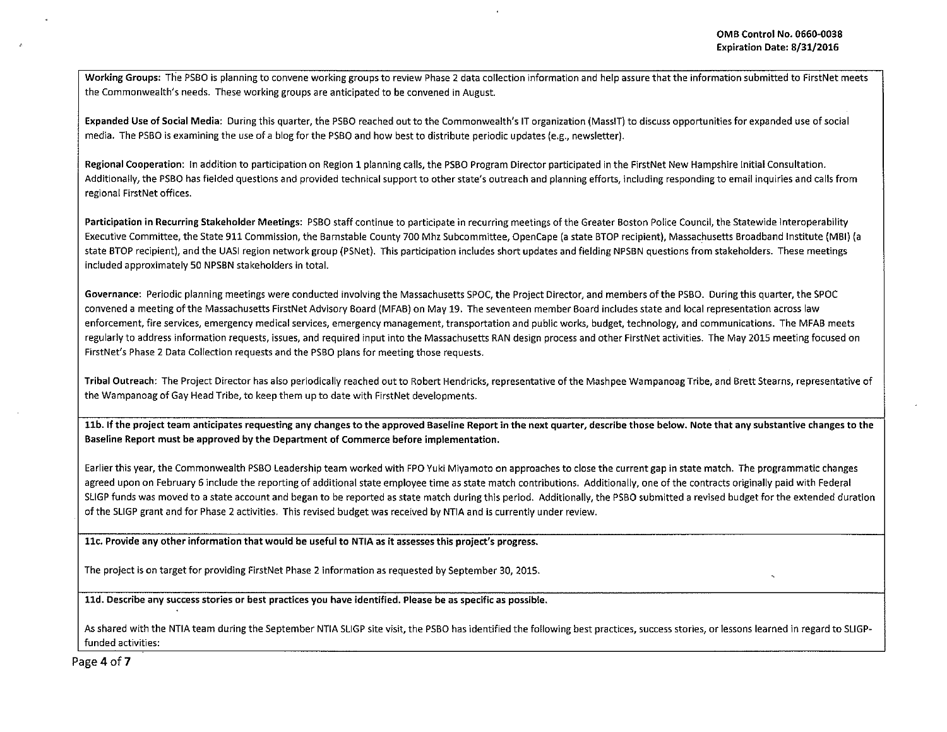Working Groups: The PSBO is planning to convene working groups to review Phase 2 data collection information and help assure that the information submitted to FirstNet meets the Commonwealth's needs. These working groups are anticipated to be convened in August.

Expanded Use of Social Media: During this quarter, the PSBO reached out to the Commonwealth's IT organization (MassiT) to discuss opportunities for expanded use of social media. The PSBO is examining the use of a blog for the PSBO and how best to distribute periodic updates (e.g., newsletter).

Regional Cooperation: In addition to participation on Region 1 planning calls, the PSBO Program Director participated in the FirstNet New Hampshire Initial Consultation. Additionally, the PSBO has fielded questions and provided technical support to other state's outreach and planning efforts, including responding to email inquiries and calls from regional First Net offices.

Participation in Recurring Stakeholder Meetings: PSBO staff continue to participate in recurring meetings of the Greater Boston Police Council, the Statewide Interoperability Executive Committee, the State 911 Commission, the Barnstable County 700 Mhz Subcommittee, OpenCape (a state BTOP recipient), Massachusetts Broadband Institute (MBI) (a state STOP recipient), and the UASI region network group (PSNet). This participation includes short updates and fielding NPSBN questions from stakeholders. These meetings included approximately 50 NPSBN stakeholders in total.

Governance: Periodic planning meetings were conducted involving the Massachusetts SPOC, the Project Director, and members of the PSBO. During this quarter, the SPOC convened a meeting of the Massachusetts FirstNet Advisory Board (MFAB) on May 19. The seventeen member Board includes state and local representation across law enforcement, fire services, emergency medical services, emergency management, transportation and public works, budget, technology, and communications. The MFAB meets regularly to address information requests, issues, and required input into the Massachusetts RAN design process and other FirstNet activities. The May 2015 meeting focused on FirstNet's Phase 2 Data Collection requests and the PSBO plans for meeting those requests.

Tribal Outreach: The Project Director has also periodically reached out to Robert Hendricks, representative of the Mashpee Wampanoag Tribe, and Brett Stearns, representative of the Wampanoag of Gay Head Tribe, to keep them up to date with FirstNet developments.

11b. If the project team anticipates requesting any changes to the approved Baseline Report in the next quarter, describe those below. Note that any substantive changes to the Baseline Report must be approved by the Department of Commerce before implementation.

Earlier this year, the Commonwealth PSBO leadership team worked with FPO Yuki Miyamoto on approaches to close the current gap in state match. The programmatic changes agreed upon on February 6 include the reporting of additional state employee time as state match contributions. Additionally, one of the contracts originally paid with Federal SLIGP funds was moved to a state account and began to be reported as state match during this period. Additionally, the PSBO submitted a revised budget for the extended duration of the SUGP grant and for Phase 2 activities. This revised budget was received by NTIA and is currently under review.

llc. Provide any other information that would be useful to NTIA as it assesses this project's progress.

The project is on target for providing FirstNet Phase 2 information as requested by September 30, 2015.

lld. Describe any success stories or best practices you have identified. Please be as specific as possible.

As shared with the NTIA team during the September NTIA SLIGP site visit, the PSBO has identified the following best practices, success stories, or lessons learned in regard to SUGPfunded activities:

Page 4 of 7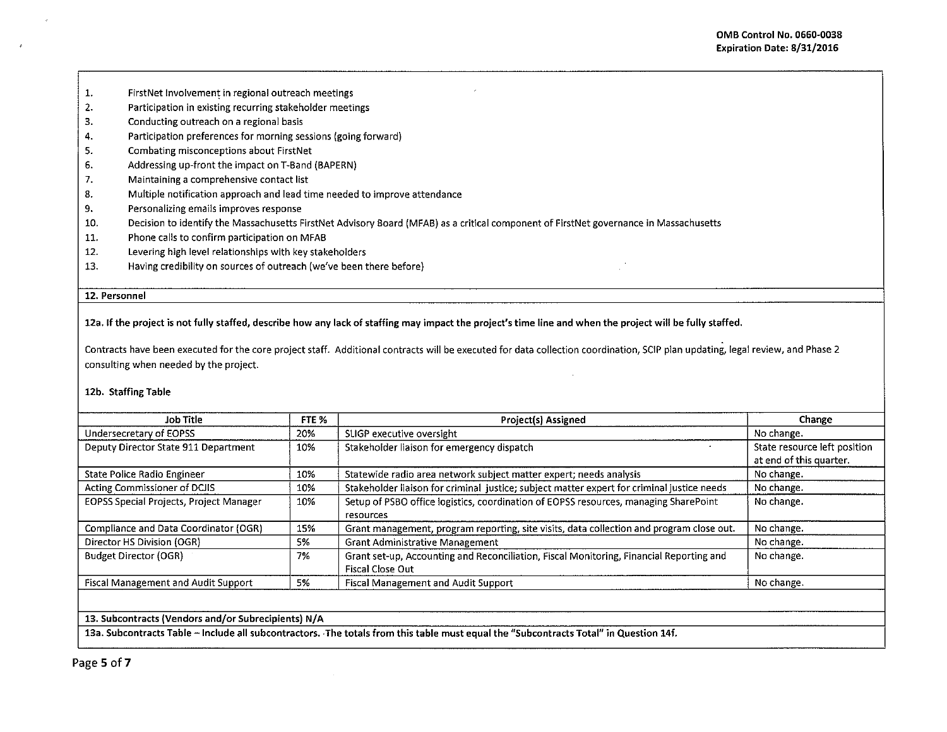- 1. FirstNet Involvement in regional outreach meetings
- 2. Participation in existing recurring stakeholder meetings
- 3. Conducting outreach on a regional basis
- 4. Participation preferences for morning sessions (going forward)
- 5. Combating misconceptions about FirstNet
- 6. Addressing up-front the impact on T-Band (BAPERN)
- 7. Maintaining a comprehensive contact list
- 8. Multiple notification approach and lead time needed to improve attendance
- 9. Personalizing emails improves response
- 10. Decision to identify the Massachusetts FirstNet Advisory Board (MFAB) as a critical component of FirstNet governance in Massachusetts
- 11. Phone calls to confirm participation on MFAB
- 12. Levering high level relationships with key stakeholders
- 13. Having credibility on sources of outreach (we've been there before)

## 12. Personnel

12a. If the project is not fully staffed, describe how any lack of staffing may impact the project's time line and when the project will be fully staffed.

Contracts have been executed for the core project staff. Additional contracts will be executed for data collection coordination, SCIP plan updating, legal review, and Phase 2 consulting when needed by the project.

## 12b. Staffing Table

| Job Title                               | FTE <sub>%</sub> | Project(s) Assigned                                                                                         | Change                                                  |
|-----------------------------------------|------------------|-------------------------------------------------------------------------------------------------------------|---------------------------------------------------------|
| Undersecretary of EOPSS                 | 20%              | SLIGP executive oversight                                                                                   | No change.                                              |
| Deputy Director State 911 Department    | 10%              | Stakeholder liaison for emergency dispatch                                                                  | State resource left position<br>at end of this quarter. |
| State Police Radio Engineer             | 10%              | Statewide radio area network subject matter expert; needs analysis                                          | No change.                                              |
| Acting Commissioner of DCJIS            | 10%              | Stakeholder liaison for criminal justice; subject matter expert for criminal justice needs                  | No change.                                              |
| EOPSS Special Projects, Project Manager | 10%              | Setup of PSBO office logistics, coordination of EOPSS resources, managing SharePoint<br>resources           | No change.                                              |
| Compliance and Data Coordinator (OGR)   | 15%              | Grant management, program reporting, site visits, data collection and program close out.                    | No change.                                              |
| Director HS Division (OGR)              | 5%               | <b>Grant Administrative Management</b>                                                                      | No change.                                              |
| <b>Budget Director (OGR)</b>            | 7%               | Grant set-up, Accounting and Reconciliation, Fiscal Monitoring, Financial Reporting and<br>Fiscal Close Out | No change.                                              |
| Fiscal Management and Audit Support     | 5%               | <b>Fiscal Management and Audit Support</b>                                                                  | No change.                                              |

## 13. Subcontracts (Vendors and/or Subrecipients) N/A

13a. Subcontracts Table - Include all subcontractors. The totals from this table must equal the "Subcontracts Total" in Question 14f.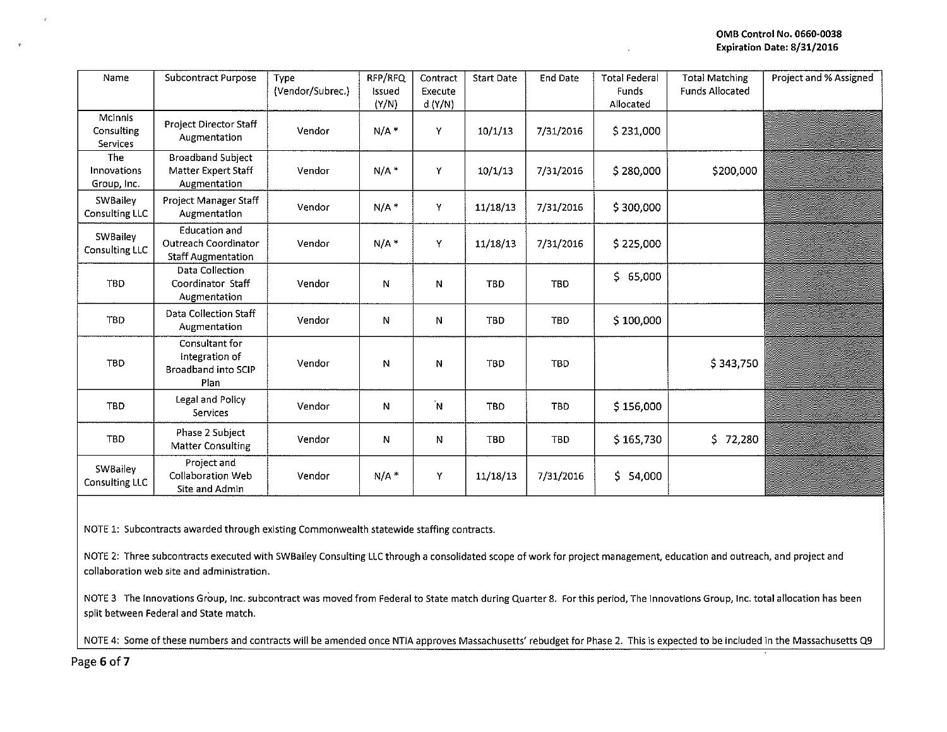| Name                                     | Subcontract Purpose                                                       | Type<br>(Vendor/Subrec.) | RFP/RFQ<br>Issued<br>(Y/N) | Contract<br>Execute<br>d(Y/N) | <b>Start Date</b> | <b>End Date</b> | <b>Total Federal</b><br><b>Funds</b><br>Allocated | <b>Total Matching</b><br><b>Funds Allocated</b> | Project and % Assigned |
|------------------------------------------|---------------------------------------------------------------------------|--------------------------|----------------------------|-------------------------------|-------------------|-----------------|---------------------------------------------------|-------------------------------------------------|------------------------|
| <b>McInnis</b><br>Consulting<br>Services | <b>Project Director Staff</b><br>Augmentation                             | Vendor                   | $N/A$ *                    | Y                             | 10/1/13           | 7/31/2016       | \$231,000                                         |                                                 |                        |
| The<br>Innovations<br>Group, Inc.        | <b>Broadband Subject</b><br>Matter Expert Staff<br>Augmentation           | Vendor                   | $N/A$ *                    | Y                             | 10/1/13           | 7/31/2016       | \$280,000                                         | \$200,000                                       |                        |
| SWBailey<br>Consulting LLC               | Project Manager Staff<br>Augmentation                                     | Vendor                   | $N/A$ *                    | Y                             | 11/18/13          | 7/31/2016       | \$300,000                                         |                                                 |                        |
| SWBailey<br>Consulting LLC               | <b>Education and</b><br>Outreach Coordinator<br><b>Staff Augmentation</b> | Vendor                   | $N/A*$                     | Y                             | 11/18/13          | 7/31/2016       | \$225,000                                         |                                                 |                        |
| TBD                                      | <b>Data Collection</b><br>Coordinator Staff<br>Augmentation               | Vendor                   | N                          | N                             | <b>TBD</b>        | <b>TBD</b>      | \$65,000                                          |                                                 |                        |
| <b>TBD</b>                               | Data Collection Staff<br>Augmentation                                     | Vendor                   | Ν                          | N                             | <b>TBD</b>        | TBD             | \$100,000                                         |                                                 |                        |
| <b>TBD</b>                               | Consultant for<br>Integration of<br>Broadband into SCIP<br>Plan           | Vendor                   | N                          | Ν                             | <b>TBD</b>        | <b>TBD</b>      |                                                   | \$343,750                                       |                        |
| <b>TBD</b>                               | Legal and Policy<br>Services                                              | Vendor                   | Ν                          | Ñ.                            | TBD               | TBD             | \$156,000                                         |                                                 |                        |
| <b>TBD</b>                               | Phase 2 Subject<br><b>Matter Consulting</b>                               | Vendor                   | N                          | Ν                             | <b>TBD</b>        | <b>TBD</b>      | \$165,730                                         | \$.<br>72,280                                   |                        |
| <b>SWBailey</b><br>Consulting LLC        | Project and<br><b>Collaboration Web</b><br>Site and Admin                 | Vendor                   | N/A                        | Υ                             | 11/18/13          | 7/31/2016       | \$ 54,000                                         |                                                 |                        |

NOTE 1: Subcontracts awarded through existing Commonwealth statewide staffing contracts.

NOTE 2: Three subcontracts executed with SWBailey Consulting LLC through a consolidated scope of work for project management, education and outreach, and project and collaboration web site and administration.

NOTE 3 The Innovations Group, Inc. subcontract was moved from Federal to State match during Quarter 8. For this period, The Innovations Group, Inc. total allocation has been split between Federal and State match.

NOTE 4: Some of these numbers and contracts will be amended once NTIA approves Massachusetts' rebudget for Phase 2. This is expected to be included in the Massachusetts Q9

Page 6 of 7